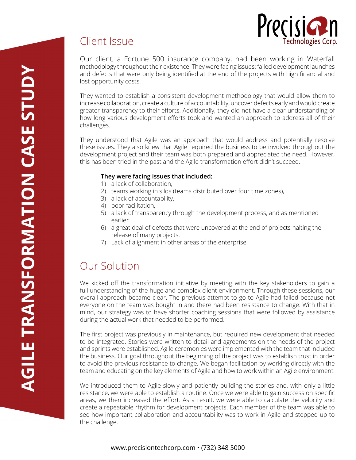# Precision

echnologies Corp.



They wanted to establish a consistent development methodology that would allow them to increase collaboration, create a culture of accountability, uncover defects early and would create greater transparency to their efforts. Additionally, they did not have a clear understanding of how long various development efforts took and wanted an approach to address all of their challenges.

They understood that Agile was an approach that would address and potentially resolve these issues. They also knew that Agile required the business to be involved throughout the development project and their team was both prepared and appreciated the need. However, this has been tried in the past and the Agile transformation effort didn't succeed.

#### **They were facing issues that included:**

- 1) a lack of collaboration,
- 2) teams working in silos (teams distributed over four time zones),
- 3) a lack of accountability,
- 4) poor facilitation,
- 5) a lack of transparency through the development process, and as mentioned earlier
- 6) a great deal of defects that were uncovered at the end of projects halting the release of many projects.
- 7) Lack of alignment in other areas of the enterprise

# Our Solution

Client Issue

We kicked off the transformation initiative by meeting with the key stakeholders to gain a full understanding of the huge and complex client environment. Through these sessions, our overall approach became clear. The previous attempt to go to Agile had failed because not everyone on the team was bought in and there had been resistance to change. With that in mind, our strategy was to have shorter coaching sessions that were followed by assistance during the actual work that needed to be performed.

The first project was previously in maintenance, but required new development that needed to be integrated. Stories were written to detail and agreements on the needs of the project and sprints were established. Agile ceremonies were implemented with the team that included the business. Our goal throughout the beginning of the project was to establish trust in order to avoid the previous resistance to change. We began facilitation by working directly with the team and educating on the key elements of Agile and how to work within an Agile environment.

We introduced them to Agile slowly and patiently building the stories and, with only a little resistance, we were able to establish a routine. Once we were able to gain success on specific areas, we then increased the effort. As a result, we were able to calculate the velocity and create a repeatable rhythm for development projects. Each member of the team was able to see how important collaboration and accountability was to work in Agile and stepped up to the challenge.